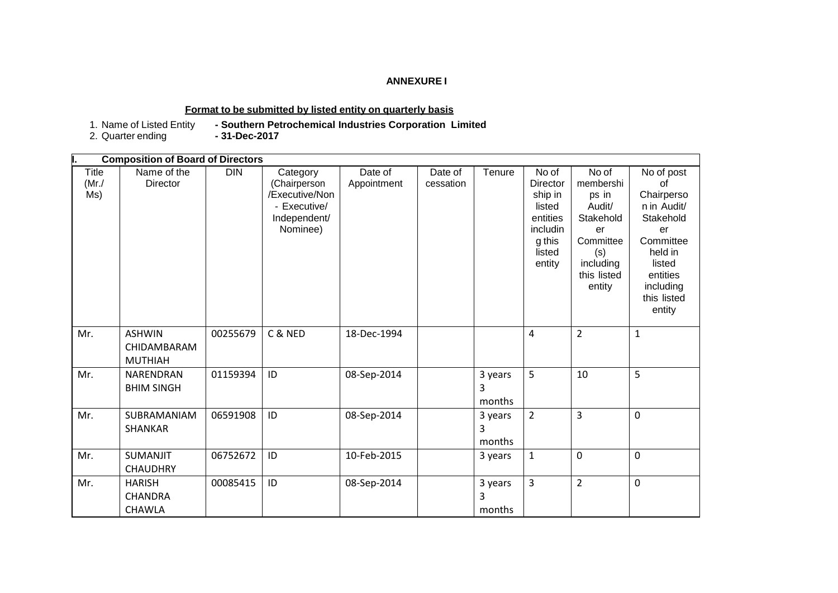#### **ANNEXURE I**

### **Format to be submitted by listed entity on quarterly basis**

1. Name of Listed Entity<br>2. Quarter ending

**- Southern Petrochemical Industries Corporation Limited**<br>- 31-Dec-2017

|                          | <b>Composition of Board of Directors</b>         |            |                                                                                        |                        |                      |                        |                                                                                                     |                                                                                                                    |                                                                                                                                                      |
|--------------------------|--------------------------------------------------|------------|----------------------------------------------------------------------------------------|------------------------|----------------------|------------------------|-----------------------------------------------------------------------------------------------------|--------------------------------------------------------------------------------------------------------------------|------------------------------------------------------------------------------------------------------------------------------------------------------|
| Title<br>$(Mr$ ./<br>Ms) | Name of the<br><b>Director</b>                   | <b>DIN</b> | Category<br>(Chairperson<br>/Executive/Non<br>- Executive/<br>Independent/<br>Nominee) | Date of<br>Appointment | Date of<br>cessation | Tenure                 | No of<br><b>Director</b><br>ship in<br>listed<br>entities<br>includin<br>g this<br>listed<br>entity | No of<br>membershi<br>ps in<br>Audit/<br>Stakehold<br>er<br>Committee<br>(s)<br>including<br>this listed<br>entity | No of post<br>οf<br>Chairperso<br>n in Audit/<br>Stakehold<br>er<br>Committee<br>held in<br>listed<br>entities<br>including<br>this listed<br>entity |
| Mr.                      | <b>ASHWIN</b><br>CHIDAMBARAM<br><b>MUTHIAH</b>   | 00255679   | C & NED                                                                                | 18-Dec-1994            |                      |                        | $\overline{4}$                                                                                      | $\overline{2}$                                                                                                     | $\mathbf{1}$                                                                                                                                         |
| Mr.                      | NARENDRAN<br><b>BHIM SINGH</b>                   | 01159394   | ID                                                                                     | 08-Sep-2014            |                      | 3 years<br>3<br>months | 5                                                                                                   | 10                                                                                                                 | 5                                                                                                                                                    |
| Mr.                      | SUBRAMANIAM<br><b>SHANKAR</b>                    | 06591908   | ID                                                                                     | 08-Sep-2014            |                      | 3 years<br>3<br>months | $\overline{2}$                                                                                      | 3                                                                                                                  | $\mathbf 0$                                                                                                                                          |
| Mr.                      | <b>SUMANJIT</b><br><b>CHAUDHRY</b>               | 06752672   | ID                                                                                     | 10-Feb-2015            |                      | 3 years                | $\mathbf{1}$                                                                                        | $\mathbf 0$                                                                                                        | 0                                                                                                                                                    |
| Mr.                      | <b>HARISH</b><br><b>CHANDRA</b><br><b>CHAWLA</b> | 00085415   | ID                                                                                     | 08-Sep-2014            |                      | 3 years<br>3<br>months | $\overline{3}$                                                                                      | $\overline{2}$                                                                                                     | $\mathbf 0$                                                                                                                                          |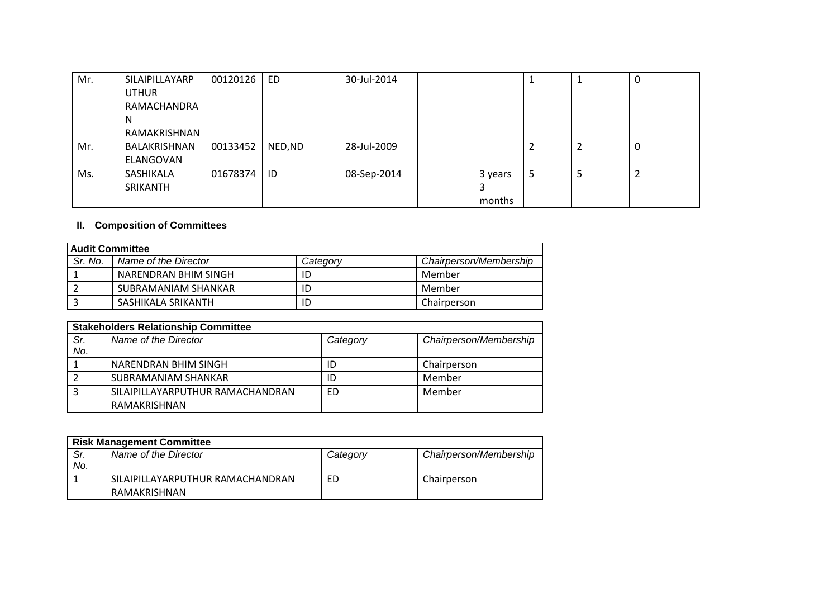| Mr. | SILAIPILLAYARP | 00120126 | ED.     | 30-Jul-2014 |         |   |   | U |
|-----|----------------|----------|---------|-------------|---------|---|---|---|
|     | <b>UTHUR</b>   |          |         |             |         |   |   |   |
|     | RAMACHANDRA    |          |         |             |         |   |   |   |
|     | <sub>N</sub>   |          |         |             |         |   |   |   |
|     | RAMAKRISHNAN   |          |         |             |         |   |   |   |
| Mr. | BALAKRISHNAN   | 00133452 | NED, ND | 28-Jul-2009 |         | ∠ | 2 | 0 |
|     | ELANGOVAN      |          |         |             |         |   |   |   |
| Ms. | SASHIKALA      | 01678374 | ID      | 08-Sep-2014 | 3 years | 5 | 5 |   |
|     | SRIKANTH       |          |         |             | 3       |   |   |   |
|     |                |          |         |             | months  |   |   |   |

## **II. Composition of Committees**

| <b>Audit Committee</b> |                      |          |                        |  |
|------------------------|----------------------|----------|------------------------|--|
| Sr. No.                | Name of the Director | Category | Chairperson/Membership |  |
|                        | NARENDRAN BHIM SINGH | ID       | Member                 |  |
|                        | SUBRAMANIAM SHANKAR  | ID       | Member                 |  |
|                        | SASHIKALA SRIKANTH   | ID       | Chairperson            |  |

|            | <b>Stakeholders Relationship Committee</b> |          |                        |  |  |
|------------|--------------------------------------------|----------|------------------------|--|--|
| Sr.<br>No. | Name of the Director                       | Category | Chairperson/Membership |  |  |
|            | NARENDRAN BHIM SINGH                       | ID       | Chairperson            |  |  |
|            | SUBRAMANIAM SHANKAR                        | ID       | Member                 |  |  |
|            | SILAIPILLAYARPUTHUR RAMACHANDRAN           | ED       | Member                 |  |  |
|            | RAMAKRISHNAN                               |          |                        |  |  |

|     | <b>Risk Management Committee</b> |          |                        |  |  |
|-----|----------------------------------|----------|------------------------|--|--|
| Sr. | Name of the Director             | Category | Chairperson/Membership |  |  |
| No. |                                  |          |                        |  |  |
|     | SILAIPILLAYARPUTHUR RAMACHANDRAN | ED       | Chairperson            |  |  |
|     | RAMAKRISHNAN                     |          |                        |  |  |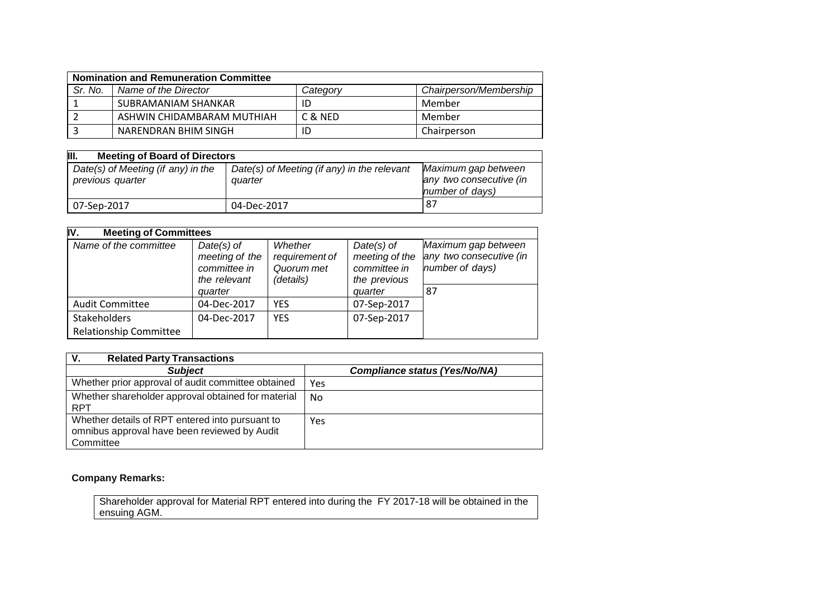| <b>Nomination and Remuneration Committee</b> |                            |          |                        |  |
|----------------------------------------------|----------------------------|----------|------------------------|--|
| Sr. No.                                      | Name of the Director       | Categorv | Chairperson/Membership |  |
|                                              | SUBRAMANIAM SHANKAR        |          | Member                 |  |
|                                              | ASHWIN CHIDAMBARAM MUTHIAH | C & NED  | Member                 |  |
|                                              | NARENDRAN BHIM SINGH       |          | Chairperson            |  |

| III.<br><b>Meeting of Board of Directors</b>           |                                                        |                                                                   |  |  |  |
|--------------------------------------------------------|--------------------------------------------------------|-------------------------------------------------------------------|--|--|--|
| Date(s) of Meeting (if any) in the<br>previous quarter | Date(s) of Meeting (if any) in the relevant<br>quarter | Maximum gap between<br>any two consecutive (in<br>number of days) |  |  |  |
| 07-Sep-2017                                            | 04-Dec-2017                                            | -87                                                               |  |  |  |

| IV.<br><b>Meeting of Committees</b> |                                                                           |                                                      |                                                                           |                                                                         |  |
|-------------------------------------|---------------------------------------------------------------------------|------------------------------------------------------|---------------------------------------------------------------------------|-------------------------------------------------------------------------|--|
| Name of the committee               | $Date(s)$ of<br>meeting of the<br>committee in<br>the relevant<br>quarter | Whether<br>requirement of<br>Quorum met<br>(details) | $Date(s)$ of<br>meeting of the<br>committee in<br>the previous<br>quarter | Maximum gap between<br>any two consecutive (in<br>number of days)<br>87 |  |
| <b>Audit Committee</b>              | 04-Dec-2017                                                               | <b>YES</b>                                           | 07-Sep-2017                                                               |                                                                         |  |
| Stakeholders                        | 04-Dec-2017                                                               | <b>YES</b>                                           | 07-Sep-2017                                                               |                                                                         |  |
| <b>Relationship Committee</b>       |                                                                           |                                                      |                                                                           |                                                                         |  |

| <b>Related Party Transactions</b><br>V.                                                                      |                                      |
|--------------------------------------------------------------------------------------------------------------|--------------------------------------|
| <b>Subject</b>                                                                                               | <b>Compliance status (Yes/No/NA)</b> |
| Whether prior approval of audit committee obtained                                                           | Yes                                  |
| Whether shareholder approval obtained for material<br><b>RPT</b>                                             | No.                                  |
| Whether details of RPT entered into pursuant to<br>omnibus approval have been reviewed by Audit<br>Committee | Yes                                  |

# **Company Remarks:**

Shareholder approval for Material RPT entered into during the FY 2017-18 will be obtained in the ensuing AGM.